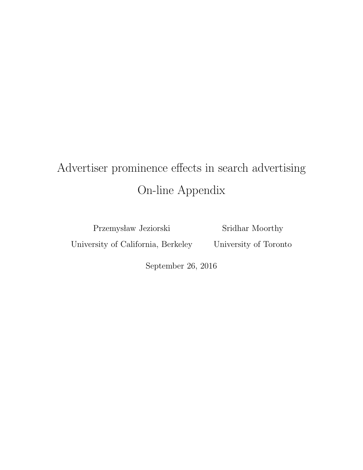# Advertiser prominence effects in search advertising On-line Appendix

Przemysław Jeziorski

Sridhar Moorthy

University of California, Berkeley

University of Toronto

September 26, 2016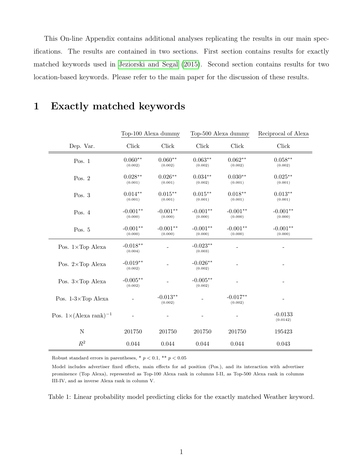This On-line Appendix contains additional analyses replicating the results in our main specifications. The results are contained in two sections. First section contains results for exactly matched keywords used in [Jeziorski and Segal](#page-6-0) [\(2015\)](#page-6-0). Second section contains results for two location-based keywords. Please refer to the main paper for the discussion of these results.

|                                          | Top-100 Alexa dummy   |                       | Top-500 Alexa dummy   |                          | Reciprocal of Alexa   |
|------------------------------------------|-----------------------|-----------------------|-----------------------|--------------------------|-----------------------|
| Dep. Var.                                | Click                 | Click                 | Click                 | $\operatorname{Click}$   | Click                 |
| Pos. $1$                                 | $0.060**$<br>(0.002)  | $0.060**$<br>(0.002)  | $0.063**$<br>(0.002)  | $0.062**$<br>(0.002)     | $0.058**$<br>(0.002)  |
| Pos. $2$                                 | $0.028**$<br>(0.001)  | $0.026**$<br>(0.001)  | $0.034**$<br>(0.002)  | $0.030**$<br>(0.001)     | $0.025***$<br>(0.001) |
| Pos. $3$                                 | $0.014**$<br>(0.001)  | $0.015***$<br>(0.001) | $0.015**$<br>(0.001)  | $0.018**$<br>(0.001)     | $0.013**$<br>(0.001)  |
| Pos. $4$                                 | $-0.001**$<br>(0.000) | $-0.001**$<br>(0.000) | $-0.001**$<br>(0.000) | $-0.001**$<br>(0.000)    | $-0.001**$<br>(0.000) |
| Pos. 5                                   | $-0.001**$<br>(0.000) | $-0.001**$<br>(0.000) | $-0.001**$<br>(0.000) | $-0.001**$<br>(0.000)    | $-0.001**$<br>(0.000) |
| Pos. $1 \times Top$ Alexa                | $-0.018**$<br>(0.004) |                       | $-0.023**$<br>(0.003) |                          |                       |
| Pos. $2 \times Top$ Alexa                | $-0.019**$<br>(0.002) |                       | $-0.026**$<br>(0.002) |                          |                       |
| Pos. $3 \times Top$ Alexa                | $-0.005**$<br>(0.002) |                       | $-0.005**$<br>(0.002) |                          |                       |
| Pos. $1-3\times$ Top Alexa               |                       | $-0.013**$<br>(0.002) |                       | $-0.017**$<br>(0.002)    |                       |
| Pos. $1 \times (\text{Alexa rank})^{-1}$ |                       |                       |                       | $\overline{\phantom{a}}$ | $-0.0133$<br>(0.0142) |
| $\mathbf N$                              | 201750                | 201750                | 201750                | 201750                   | 195423                |
| $R^2$                                    | 0.044                 | $\,0.044\,$           | 0.044                 | 0.044                    | 0.043                 |

#### 1 Exactly matched keywords

Robust standard errors in parentheses, \* $p < 0.1$  ,\*\*  $p < 0.05$ 

Model includes advertiser fixed effects, main effects for ad position (Pos.), and its interaction with advertiser prominence (Top Alexa), represented as Top-100 Alexa rank in columns I-II, as Top-500 Alexa rank in columns III-IV, and as inverse Alexa rank in column V.

Table 1: Linear probability model predicting clicks for the exactly matched Weather keyword.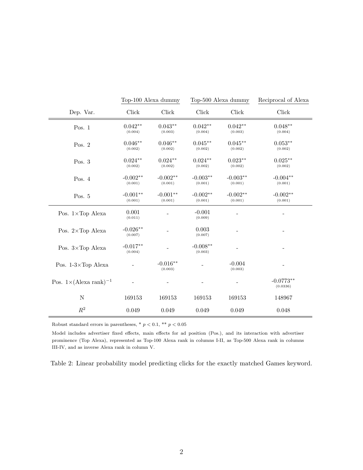|                                          | Top-100 Alexa dummy   |                       | Top-500 Alexa dummy   |                              | Reciprocal of Alexa     |
|------------------------------------------|-----------------------|-----------------------|-----------------------|------------------------------|-------------------------|
| Dep. Var.                                | Click                 | Click                 | ${\rm Click}$         | ${\rm Click}$                | Click                   |
| Pos. $1$                                 | $0.042**$<br>(0.004)  | $0.043**$<br>(0.003)  | $0.042**$<br>(0.004)  | $0.042**$<br>(0.003)         | $0.048**$<br>(0.004)    |
| Pos. $2$                                 | $0.046**$<br>(0.002)  | $0.046**$<br>(0.002)  | $0.045**$<br>(0.002)  | $0.045**$<br>(0.002)         | $0.053**$<br>(0.002)    |
| Pos. $3$                                 | $0.024**$<br>(0.002)  | $0.024**$<br>(0.002)  | $0.024**$<br>(0.002)  | $0.023**$<br>(0.002)         | $0.025***$<br>(0.002)   |
| Pos. $4$                                 | $-0.002**$<br>(0.001) | $-0.002**$<br>(0.001) | $-0.003**$<br>(0.001) | $-0.003**$<br>(0.001)        | $-0.004**$<br>(0.001)   |
| Pos. $5$                                 | $-0.001**$<br>(0.001) | $-0.001**$<br>(0.001) | $-0.002**$<br>(0.001) | $-0.002**$<br>(0.001)        | $-0.002**$<br>(0.001)   |
| Pos. $1 \times Top$ Alexa                | 0.001<br>(0.011)      |                       | $-0.001$<br>(0.009)   |                              |                         |
| Pos. $2 \times Top$ Alexa                | $-0.026**$<br>(0.007) |                       | 0.003<br>(0.007)      |                              |                         |
| Pos. $3 \times Top$ Alexa                | $-0.017**$<br>(0.004) |                       | $-0.008**$<br>(0.003) |                              |                         |
| Pos. $1-3\times$ Top Alexa               |                       | $-0.016**$<br>(0.003) |                       | $-0.004$<br>(0.003)          |                         |
| Pos. $1 \times (\text{Alexa rank})^{-1}$ |                       |                       |                       | $\qquad \qquad \blacksquare$ | $-0.0773**$<br>(0.0336) |
| $\mathbf N$                              | 169153                | 169153                | 169153                | 169153                       | 148967                  |
| $R^2$                                    | 0.049                 | 0.049                 | 0.049                 | 0.049                        | 0.048                   |

Robust standard errors in parentheses, \*  $p < 0.1,$  \*\*  $p < 0.05$ 

Model includes advertiser fixed effects, main effects for ad position (Pos.), and its interaction with advertiser prominence (Top Alexa), represented as Top-100 Alexa rank in columns I-II, as Top-500 Alexa rank in columns III-IV, and as inverse Alexa rank in column V.

Table 2: Linear probability model predicting clicks for the exactly matched Games keyword.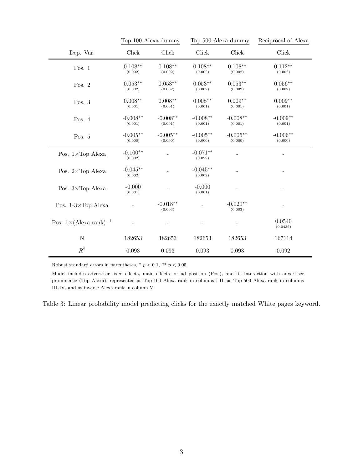|                                          | Top-100 Alexa dummy   |                        | Top-500 Alexa dummy   |                       | Reciprocal of Alexa   |
|------------------------------------------|-----------------------|------------------------|-----------------------|-----------------------|-----------------------|
| Dep. Var.                                | Click                 | ${\rm Click}$          | Click                 | Click                 | Click                 |
| Pos. $1$                                 | $0.108**$<br>(0.002)  | $0.108**$<br>(0.002)   | $0.108**$<br>(0.002)  | $0.108**$<br>(0.002)  | $0.112**$<br>(0.002)  |
| Pos. $2$                                 | $0.053**$<br>(0.002)  | $0.053**$<br>(0.002)   | $0.053**$<br>(0.002)  | $0.053**$<br>(0.002)  | $0.056**$<br>(0.002)  |
| Pos. 3                                   | $0.008**$<br>(0.001)  | $0.008**$<br>(0.001)   | $0.008**$<br>(0.001)  | $0.009**$<br>(0.001)  | $0.009**$<br>(0.001)  |
| Pos. 4                                   | $-0.008**$<br>(0.001) | $-0.008**$<br>(0.001)  | $-0.008**$<br>(0.001) | $-0.008**$<br>(0.001) | $-0.009**$<br>(0.001) |
| Pos. $5$                                 | $-0.005**$<br>(0.000) | $-0.005**$<br>(0.000)  | $-0.005**$<br>(0.000) | $-0.005**$<br>(0.000) | $-0.006**$<br>(0.000) |
| Pos. 1×Top Alexa                         | $-0.100**$<br>(0.002) |                        | $-0.071**$<br>(0.029) |                       |                       |
| Pos. $2 \times Top$ Alexa                | $-0.045**$<br>(0.002) |                        | $-0.045**$<br>(0.002) |                       |                       |
| Pos. $3 \times Top$ Alexa                | $-0.000$<br>(0.001)   |                        | $-0.000$<br>(0.001)   |                       |                       |
| Pos. $1-3\times$ Top Alexa               |                       | $-0.018***$<br>(0.003) |                       | $-0.020**$<br>(0.003) |                       |
| Pos. $1 \times (\text{Alexa rank})^{-1}$ |                       |                        |                       |                       | 0.0540<br>(0.0436)    |
| $\mathbf N$                              | 182653                | 182653                 | 182653                | 182653                | 167114                |
| $\mathbb{R}^2$                           | 0.093                 | 0.093                  | 0.093                 | 0.093                 | 0.092                 |

Robust standard errors in parentheses, \*  $p < 0.1$ , \*\*  $p < 0.05$ 

Model includes advertiser fixed effects, main effects for ad position (Pos.), and its interaction with advertiser prominence (Top Alexa), represented as Top-100 Alexa rank in columns I-II, as Top-500 Alexa rank in columns III-IV, and as inverse Alexa rank in column V.

Table 3: Linear probability model predicting clicks for the exactly matched White pages keyword.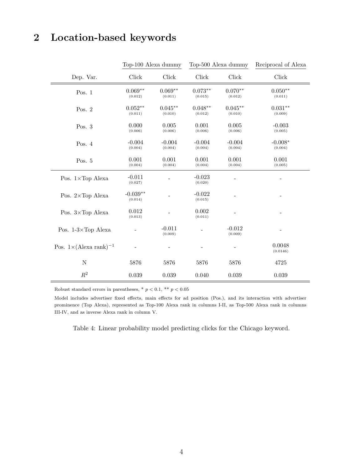## 2 Location-based keywords

|                                           | Top-100 Alexa dummy   |                      | Top-500 Alexa dummy  |                      | Reciprocal of Alexa  |
|-------------------------------------------|-----------------------|----------------------|----------------------|----------------------|----------------------|
| Dep. Var.                                 | Click                 | Click                | Click                | Click                | Click                |
| Pos. $1$                                  | $0.069**$<br>(0.012)  | $0.069**$<br>(0.011) | $0.073**$<br>(0.015) | $0.070**$<br>(0.012) | $0.050**$<br>(0.011) |
| Pos. $2$                                  | $0.052**$<br>(0.011)  | $0.045**$<br>(0.010) | $0.048**$<br>(0.012) | $0.045**$<br>(0.010) | $0.031**$<br>(0.009) |
| Pos. $3$                                  | 0.000<br>(0.006)      | 0.005<br>(0.006)     | 0.001<br>(0.006)     | 0.005<br>(0.006)     | $-0.003$<br>(0.005)  |
| Pos. $4$                                  | $-0.004$<br>(0.004)   | $-0.004$<br>(0.004)  | $-0.004$<br>(0.004)  | $-0.004$<br>(0.004)  | $-0.008*$<br>(0.004) |
| Pos. 5                                    | 0.001<br>(0.004)      | 0.001<br>(0.004)     | 0.001<br>(0.004)     | 0.001<br>(0.004)     | 0.001<br>(0.005)     |
| Pos. $1 \times Top$ Alexa                 | $-0.011$<br>(0.027)   |                      | $-0.023$<br>(0.020)  |                      |                      |
| Pos. $2 \times Top$ Alexa                 | $-0.039**$<br>(0.014) |                      | $-0.022$<br>(0.015)  |                      |                      |
| Pos. $3 \times Top$ Alexa                 | 0.012<br>(0.013)      |                      | 0.002<br>(0.011)     | $\overline{a}$       |                      |
| Pos. $1-3\times$ Top Alexa                |                       | $-0.011$<br>(0.009)  |                      | $-0.012$<br>(0.009)  |                      |
| Pos. $1\times$ (Alexa rank) <sup>-1</sup> |                       |                      |                      |                      | 0.0048<br>(0.0146)   |
| ${\rm N}$                                 | 5876                  | 5876                 | 5876                 | 5876                 | 4725                 |
| $R^2$                                     | 0.039                 | 0.039                | 0.040                | 0.039                | 0.039                |

Robust standard errors in parentheses, \* $p < 0.1,$  \*\*  $p < 0.05$ 

Model includes advertiser fixed effects, main effects for ad position (Pos.), and its interaction with advertiser prominence (Top Alexa), represented as Top-100 Alexa rank in columns I-II, as Top-500 Alexa rank in columns III-IV, and as inverse Alexa rank in column V.

Table 4: Linear probability model predicting clicks for the Chicago keyword.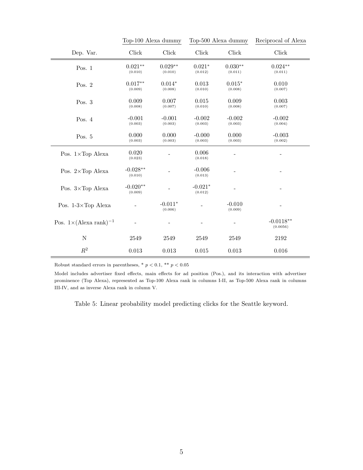|                                           | Top-100 Alexa dummy   |                      | Top-500 Alexa dummy  |                        | Reciprocal of Alexa     |
|-------------------------------------------|-----------------------|----------------------|----------------------|------------------------|-------------------------|
| Dep. Var.                                 | Click                 | Click                | Click                | $\operatorname{Click}$ | Click                   |
| Pos. $1$                                  | $0.021**$<br>(0.010)  | $0.029**$<br>(0.010) | $0.021*$<br>(0.012)  | $0.030**$<br>(0.011)   | $0.024**$<br>(0.011)    |
| Pos. $2$                                  | $0.017**$<br>(0.009)  | $0.014*$<br>(0.008)  | 0.013<br>(0.010)     | $0.015*$<br>(0.008)    | 0.010<br>(0.007)        |
| Pos. $3$                                  | 0.009<br>(0.008)      | 0.007<br>(0.007)     | 0.015<br>(0.010)     | 0.009<br>(0.008)       | 0.003<br>(0.007)        |
| Pos. $4$                                  | $-0.001$<br>(0.003)   | $-0.001$<br>(0.003)  | $-0.002$<br>(0.003)  | $-0.002$<br>(0.003)    | $-0.002$<br>(0.004)     |
| Pos. $5$                                  | 0.000<br>(0.003)      | 0.000<br>(0.003)     | $-0.000$<br>(0.003)  | 0.000<br>(0.003)       | $-0.003$<br>(0.002)     |
| Pos. $1 \times Top$ Alexa                 | 0.020<br>(0.023)      |                      | 0.006<br>(0.018)     |                        |                         |
| Pos. 2×Top Alexa                          | $-0.028**$<br>(0.010) |                      | $-0.006$<br>(0.013)  |                        |                         |
| Pos. $3 \times Top$ Alexa                 | $-0.020**$<br>(0.009) |                      | $-0.021*$<br>(0.012) |                        |                         |
| Pos. $1-3\times$ Top Alexa                |                       | $-0.011*$<br>(0.006) |                      | $-0.010$<br>(0.009)    |                         |
| Pos. $1\times$ (Alexa rank) <sup>-1</sup> |                       |                      |                      |                        | $-0.0118**$<br>(0.0056) |
| $\mathbf N$                               | 2549                  | 2549                 | 2549                 | 2549                   | 2192                    |
| $\mathbb{R}^2$                            | 0.013                 | 0.013                | 0.015                | 0.013                  | 0.016                   |

Robust standard errors in parentheses, \*  $p < 0.1,$  \*\*  $p < 0.05$ 

Model includes advertiser fixed effects, main effects for ad position (Pos.), and its interaction with advertiser prominence (Top Alexa), represented as Top-100 Alexa rank in columns I-II, as Top-500 Alexa rank in columns III-IV, and as inverse Alexa rank in column V.

Table 5: Linear probability model predicting clicks for the Seattle keyword.